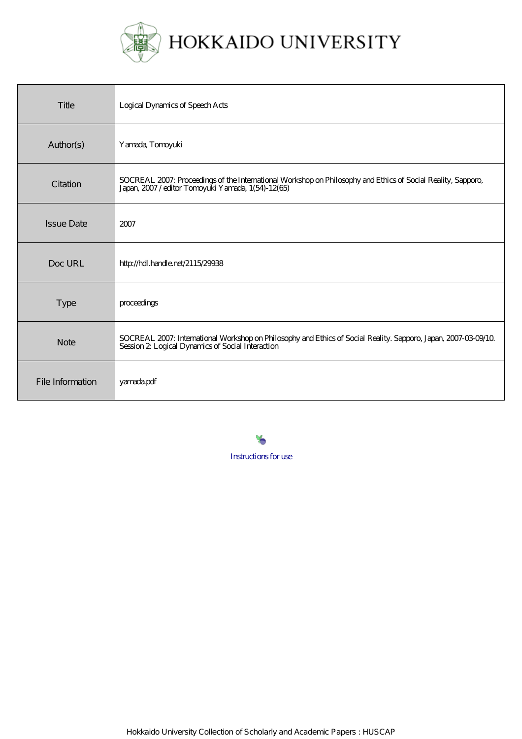

| Title             | Logical Dynamics of Speech Acts                                                                                                                                    |
|-------------------|--------------------------------------------------------------------------------------------------------------------------------------------------------------------|
| Author(s)         | Yamada, Tomoyuki                                                                                                                                                   |
| Citation          | SOCREAL 2007: Proceedings of the International Workshop on Philosophy and Ethics of Social Reality, Sapporo,<br>Japan, 2007/editor Torroyuki Yamada, 1(54)-12(65)  |
| <b>Issue Date</b> | 2007                                                                                                                                                               |
| Doc URL           | http://hdl.handle.net/2115/29938                                                                                                                                   |
| Type              | proceedings                                                                                                                                                        |
| <b>Note</b>       | SOCREAL 2007: International Workshop on Philosophy and Ethics of Social Reality. Sapporo, Japan, 2007-03-09/10<br>Session 2 Logical Dynamics of Social Interaction |
| File Information  | yamadapdf                                                                                                                                                          |

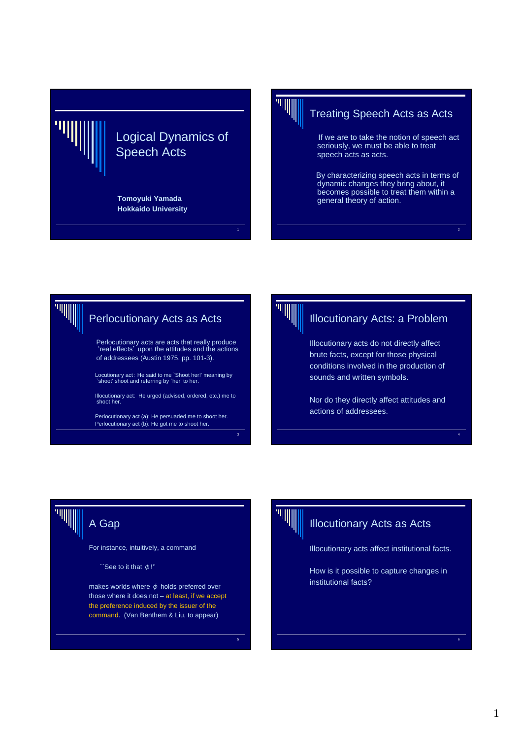



# Treating Speech Acts as Acts

If we are to take the notion of speech act seriously, we must be able to treat speech acts as acts.

By characterizing speech acts in terms of dynamic changes they bring about, it becomes possible to treat them within a general theory of action.





1

#### Illocutionary Acts: a Problem

Illocutionary acts do not directly affect brute facts, except for those physical conditions involved in the production of sounds and written symbols.

Nor do they directly affect attitudes and actions of addressees.

4

# A Gap

For instance, intuitively, a command

 $\Gamma$ `See to it that  $\phi$ !"

makes worlds where  $\phi$  holds preferred over those where it does not – at least, if we accept the preference induced by the issuer of the command. (Van Benthem & Liu, to appear)



5

## Illocutionary Acts as Acts

Illocutionary acts affect institutional facts.

How is it possible to capture changes in institutional facts?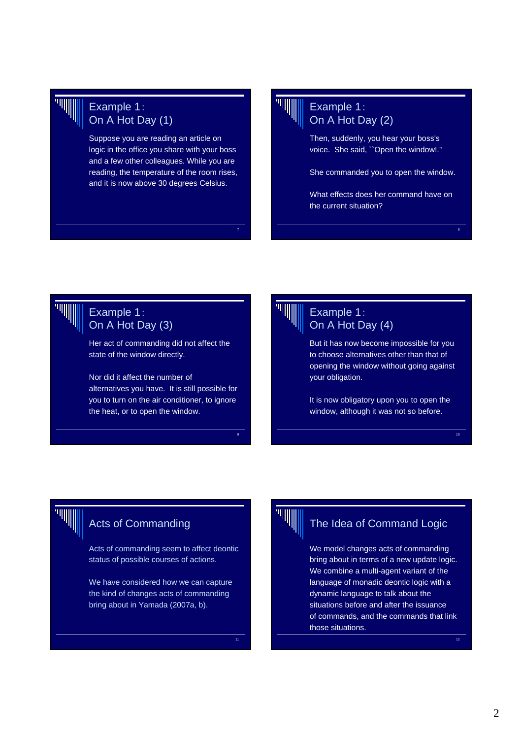

# Example 1: On A Hot Day (1)

Suppose you are reading an article on logic in the office you share with your boss and a few other colleagues. While you are reading, the temperature of the room rises, and it is now above 30 degrees Celsius.

# Example 1: On A Hot Day (2)

Then, suddenly, you hear your boss's voice. She said, ``Open the window!.''

She commanded you to open the window.

What effects does her command have on the current situation?

8

10

12

# Example 1: On A Hot Day (3)

Her act of commanding did not affect the state of the window directly.

Nor did it affect the number of alternatives you have. It is still possible for you to turn on the air conditioner, to ignore the heat, or to open the window.



7

9

11

## Example 1: On A Hot Day (4)

But it has now become impossible for you to choose alternatives other than that of opening the window without going against your obligation.

It is now obligatory upon you to open the window, although it was not so before.

# Acts of Commanding

Acts of commanding seem to affect deontic status of possible courses of actions.

We have considered how we can capture the kind of changes acts of commanding bring about in Yamada (2007a, b).



# The Idea of Command Logic

We model changes acts of commanding bring about in terms of a new update logic. We combine a multi-agent variant of the language of monadic deontic logic with a dynamic language to talk about the situations before and after the issuance of commands, and the commands that link those situations.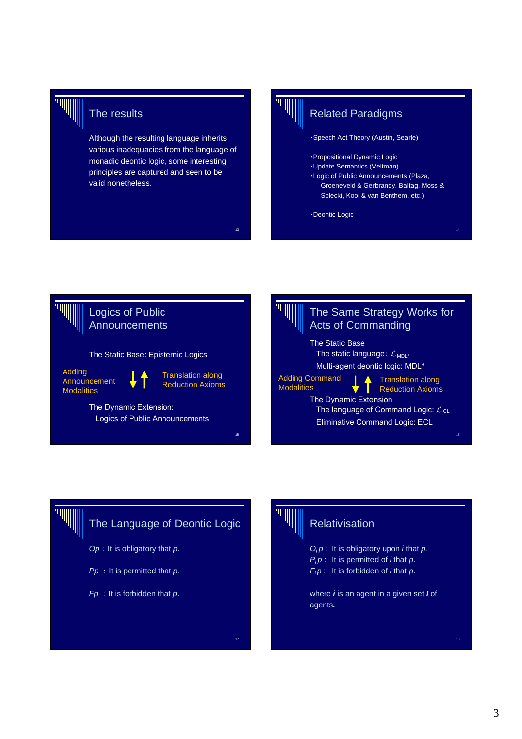

# The results

Although the resulting language inherits various inadequacies from the language of monadic deontic logic, some interesting principles are captured and seen to be valid nonetheless.



# Related Paradigms

・Speech Act Theory (Austin, Searle)

- ・Propositional Dynamic Logic
- ・Update Semantics (Veltman)
- ・Logic of Public Announcements (Plaza, Groeneveld & Gerbrandy, Baltag, Moss & Solecki, Kooi & van Benthem, etc.)

14

・Deontic Logic







# **Relativisation**

*Oi p* : It is obligatory upon *i* that *p. P<sub>i</sub>p* : It is permitted of *i* that *p*. *Fi p* : It is forbidden of *i* that *p*.

where *i* is an agent in a given set *I* of agents*.*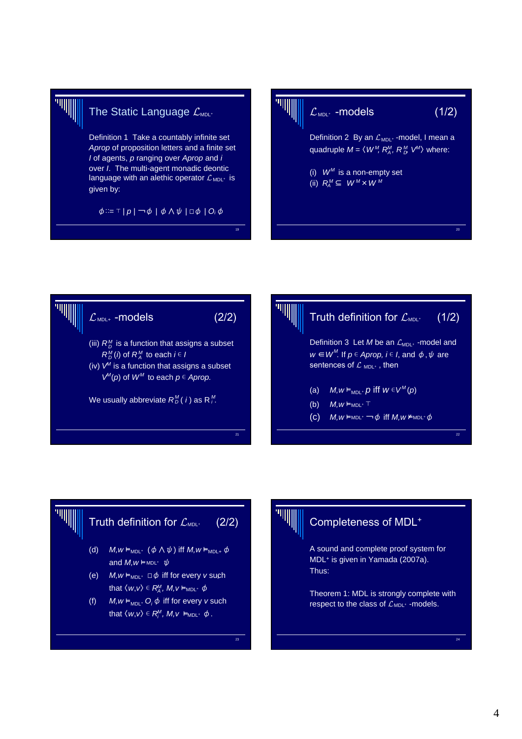

# The Static Language  $\mathcal{L}_{\text{\tiny MDL^+}}$

Definition 1 Take a countably infinite set *Aprop* of proposition letters and a finite set *I* of agents, *p* ranging over *Aprop* and *i* over *I*. The multi-agent monadic deontic language with an alethic operator  $\mathcal{L}_{MDL^+}$  is given by:

 $\phi ::= \top | p | \neg \phi | \phi \wedge \psi | \Box \phi | O_i \phi$ 





19





# Completeness of MDL+

A sound and complete proof system for MDL+ is given in Yamada (2007a). Thus:

Theorem 1: MDL is strongly complete with respect to the class of  $\mathcal{L}_{MDL^+}$  -models.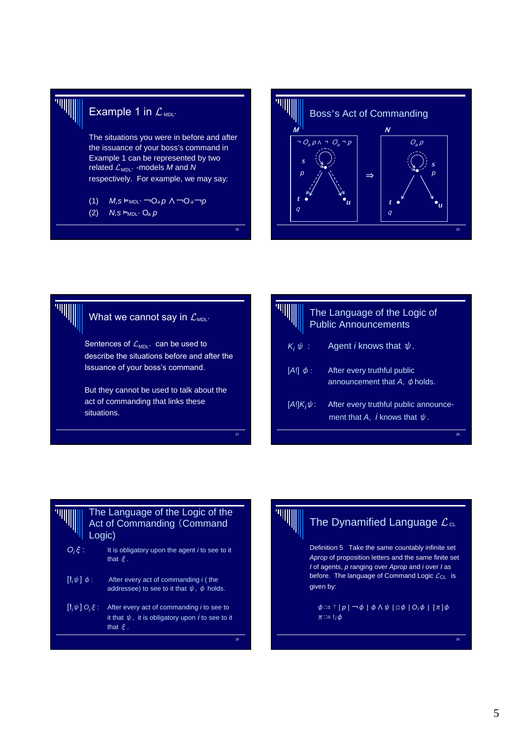

## Example 1 in  $\mathcal{L}_{\text{\tiny MDL^+}}$

The situations you were in before and after the issuance of your boss's command in Example 1 can be represented by two related  $\mathcal{L}_{\sf MDL^+}$  -models  $M$  and  $N$ respectively. For example, we may say:

- (1) *M,s* ⊨<sub>MDL</sub> → O<sub>a</sub> p ∧ → O<sub>a</sub> → p
- $(2)$  *N,s*  $\vdash_{MDL^+} O_a p$





| The Language of the Logic of<br><b>Public Announcements</b> |                                                                                    |  |  |  |
|-------------------------------------------------------------|------------------------------------------------------------------------------------|--|--|--|
| $K_i \psi$ :                                                | Agent <i>i</i> knows that $\psi$ .                                                 |  |  |  |
| $[A!] \phi$ :                                               | After every truthful public<br>announcement that A, $\phi$ holds.                  |  |  |  |
| $[A!]K_i\psi$ :                                             | After every truthful public announce-<br>ment that A, <i>i</i> knows that $\psi$ . |  |  |  |
|                                                             | 28                                                                                 |  |  |  |

#### The Language of the Logic of the Act of Commanding (Command Logic) *Oi* It is obligatory upon the agent *i* to see to it that ξ*.*  $\left[\mathbf{l}_i\psi\right]\phi$ : After every act of commanding *i* ( the addressee) to see to it that  $\psi$ ,  $\phi$  holds.

[**!***i* <sup>ψ</sup>] *Oi* After every act of commanding *i* to see to it that  $\psi$ , it is obligatory upon  $\boldsymbol{i}$  to see to it that ξ.

<sub>29</sub>

# The Dynamified Language  $\mathcal{L}_{\texttt{cl}}$

Definition 5 Take the same countably infinite set *Aprop* of proposition letters and the same finite set *I* of agents, *p* ranging over *Aprop* and *i* over *I* as before. The language of Command Logic  $\mathcal{L}_{\textsf{CL}}$  is given by:

φ∷= ⊤ | *p |* ¬φ | φ∧ψ | ⎕φ | *O* φ | [π]φ *i*  $\pi ::= !_i \phi$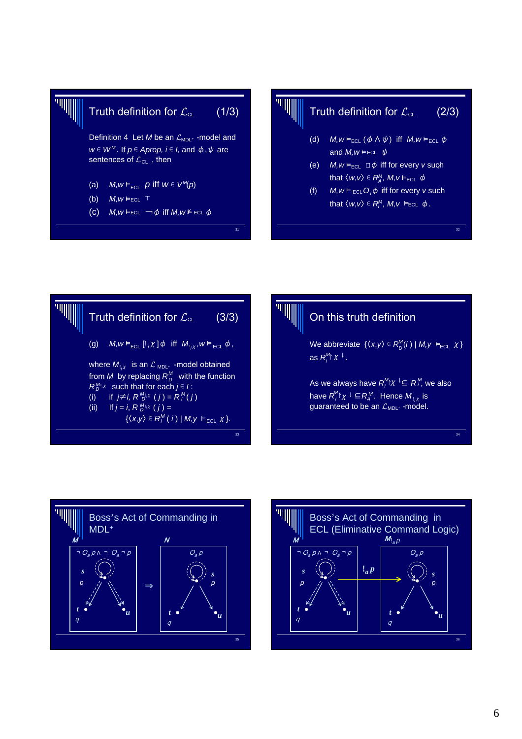



# Truth definition for  $\mathcal{L}_{\scriptscriptstyle{\text{CL}}}$  (2/3)

- (d)  $M,w \vDash_{\text{ECL}} (\phi \land \psi)$  iff  $M,w \vDash_{\text{ECL}} \phi$ and  $M, w \models$  ECL  $\psi$
- $(e)$  *M,w*  $\vDash$ <sub>ECL</sub>  $\Box \phi$  iff for every *v* such that  $\langle w, v \rangle \in R_A^M$ ,  $M, v \vDash_{\text{ECL}} \phi$
- (f)  $M, w \models_{\text{ECL}} O_i \phi$  iff for every *v* such that  $\langle w, v \rangle \in R_i^M$ ,  $M, v \models_{\text{ECL}} \phi$ .







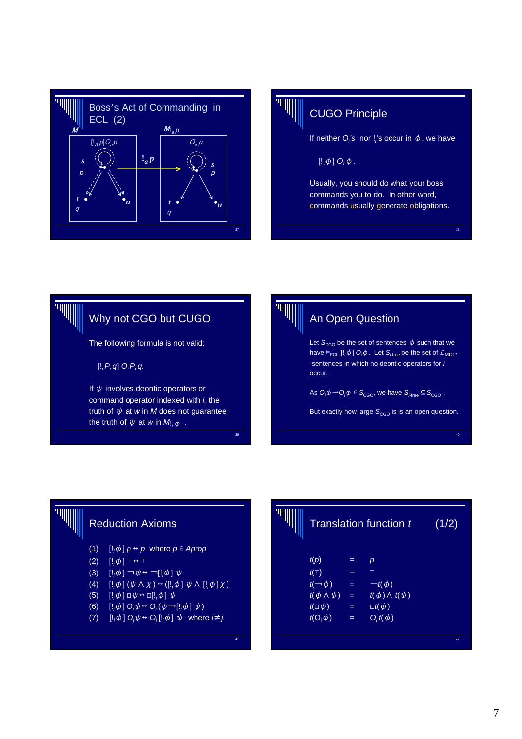



# CUGO Principle

If neither  $O_i$ 's nor !'s occur in  $\phi$ , we have

 $\left[\begin{smallmatrix} 1 & \phi \end{smallmatrix}\right]$   $O_i \phi$ .

Usually, you should do what your boss commands you to do. In other word, commands usually generate obligations.

38





# Reduction Axioms

- $(1)$  $\left[\frac{1}{\phi}\right] p \leftrightarrow p$  where  $p \in$  *Aprop*
- $(2)$  $[!,\phi]$  ⊤ ↔ ⊤
- (3)  $\left[ \cdot, \phi \right] \rightarrow \psi \leftrightarrow \neg \left[ \cdot, \phi \right] \psi$
- $(4)$  $[\phi](\psi \wedge \chi) \leftrightarrow ([!,\phi] \psi \wedge [!,\phi] \chi)$
- (5)  $\left[\cdot,\phi\right] \square \psi \leftrightarrow \square \left[\cdot,\phi\right] \psi$
- (6)  $\left[\frac{1}{\phi}\right] O_i \psi \leftrightarrow O_i(\phi \rightarrow \left[\frac{1}{\phi}\right] \psi)$
- $(7)$   $[!_i\phi]$   $O_j\psi \leftrightarrow O_j[!_i\phi]$   $\psi$  where  $i\neq j$ .

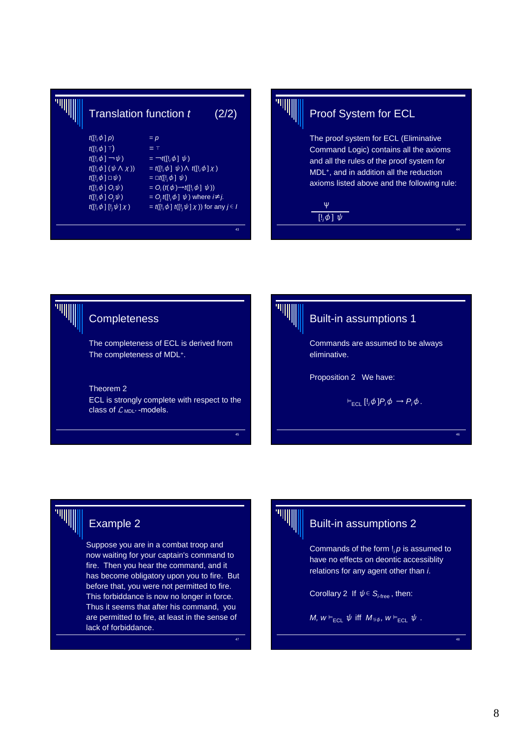|  | Translation function t                                                                                                                                               |                                                                                  | (2/2) |
|--|----------------------------------------------------------------------------------------------------------------------------------------------------------------------|----------------------------------------------------------------------------------|-------|
|  | $t([!,\phi]p)$                                                                                                                                                       | $= p$                                                                            |       |
|  | $t([!,\phi]\top)$                                                                                                                                                    | $=$ T                                                                            |       |
|  | $t([!,\phi] \rightarrow \psi)$                                                                                                                                       | $= \neg t ([] \phi \mid \psi)$                                                   |       |
|  | $t([!,\phi](\psi \wedge \chi))$                                                                                                                                      | $=$ t([!, $\phi$ ] $\psi$ ) $\wedge$ t([!, $\phi$ ] $\chi$ )                     |       |
|  | $t([!,\phi]\sqcup \psi)$                                                                                                                                             | $= \Box t ( \vert ! , \phi \vert \psi )$                                         |       |
|  | $t([!,\phi] \ O_i \psi)$<br>$= O_i(f(\phi) \rightarrow f([1,\phi] \psi))$<br>$t([!,\phi] O_i\psi)$<br>= $O_i$ t([! <sub>i</sub> $\phi$ ] $\psi$ ) where $i \neq j$ . |                                                                                  |       |
|  |                                                                                                                                                                      |                                                                                  |       |
|  | $t([!,\phi],[!,\psi]\chi)$                                                                                                                                           | $=$ t([! <sub>i</sub> $\phi$ ] t([! <sub>i</sub> $\psi$ ] x )) for any $j \in I$ |       |
|  |                                                                                                                                                                      |                                                                                  |       |
|  |                                                                                                                                                                      |                                                                                  | 43    |



# Proof System for ECL

The proof system for ECL (Eliminative Command Logic) contains all the axioms and all the rules of the proof system for MDL+, and in addition all the reduction axioms listed above and the following rule:

44

46

48



# **Completeness**

The completeness of ECL is derived from The completeness of MDL+.

Theorem 2 ECL is strongly complete with respect to the class of  $\mathcal{L}_{MDL^{+}}$ -models.



45

47

### Built-in assumptions 1

Commands are assumed to be always eliminative.

Proposition 2 We have:

 $\vDash$ <sub>ECL</sub>  $[l_i \phi] P_i \phi \rightarrow P_i \phi$ .

# Example 2

Suppose you are in a combat troop and now waiting for your captain's command to fire. Then you hear the command, and it has become obligatory upon you to fire. But before that, you were not permitted to fire. This forbiddance is now no longer in force. Thus it seems that after his command, you are permitted to fire, at least in the sense of lack of forbiddance.



# Built-in assumptions 2

Commands of the form !*i p* is assumed to have no effects on deontic accessiblity relations for any agent other than *i*.

Corollary 2 If  $\psi \in \overline{S_{\text{ifree}}}$ , then:

*M,*  $w \vDash_{\text{ECL}} \psi$  iff  $M_{\text{li}\phi}$ ,  $w \vDash_{\text{ECL}} \psi$ .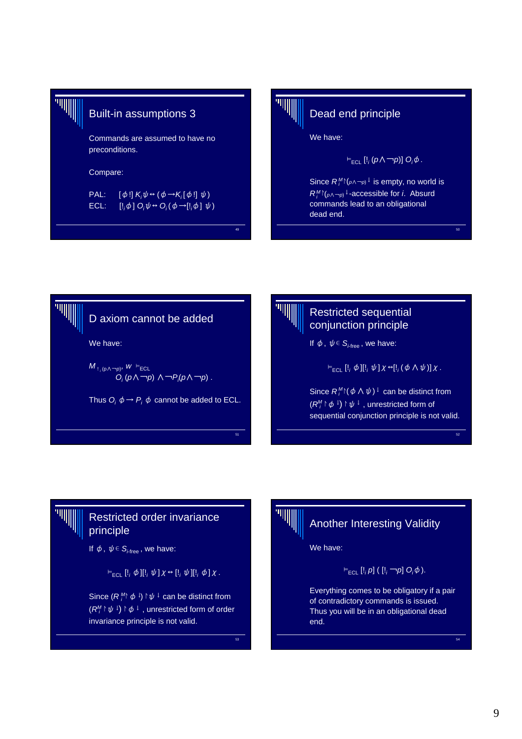$$
\mathbb{H}^{\mathbb{H}^n}
$$

# Built-in assumptions 3

Commands are assumed to have no preconditions.

#### Compare:

PAL:  $[\phi!] K_i \psi \leftrightarrow (\phi \rightarrow K_i [\phi!] \psi)$ ECL:  $[\phi]$   $O_i \psi \leftrightarrow O_i (\phi \rightarrow [!_i \phi] \psi)$ 



49

# Dead end principle

We have:

$$
\vDash_{\sf ECL} [I_i(p \wedge \neg p)] O_i \phi.
$$

Since  $R_j^M$ <sup> $\upharpoonright$ </sup>( $p \land \neg p$ )<sup>↓</sup> is empty, no world is *R*<sup>M</sup><sup>↑</sup>( $p \wedge \neg p$ <sup>1</sup> -accessible for *i*. Absurd commands lead to an obligational dead end.

50

52

54





# Restricted order invariance principle

If  $\phi$ ,  $\psi \in \overline{S_{i-free}}$ , we have:

 $\vDash$ <sub>ECL</sub>  $\left[ \cdot, \phi \right]$  $\left[ \cdot, \psi \right]$  $\chi \leftrightarrow \left[ \cdot, \psi \right]$  $\left[ \cdot, \phi \right]$  $\chi$ .

Since  $(R_j^M \phi_j) \upharpoonright \psi_j$  can be distinct from  $(R_i^M \upharpoonright \psi^{\perp}) \upharpoonright \phi^{\perp}$  , unrestricted form of order invariance principle is not valid.



 $\overline{53}$ 

# Another Interesting Validity

We have:

⊨ECL [!*<sup>i</sup> p*] ( [!*<sup>i</sup>* ¬*p*] *Oi* φ).

Everything comes to be obligatory if a pair of contradictory commands is issued. Thus you will be in an obligational dead end.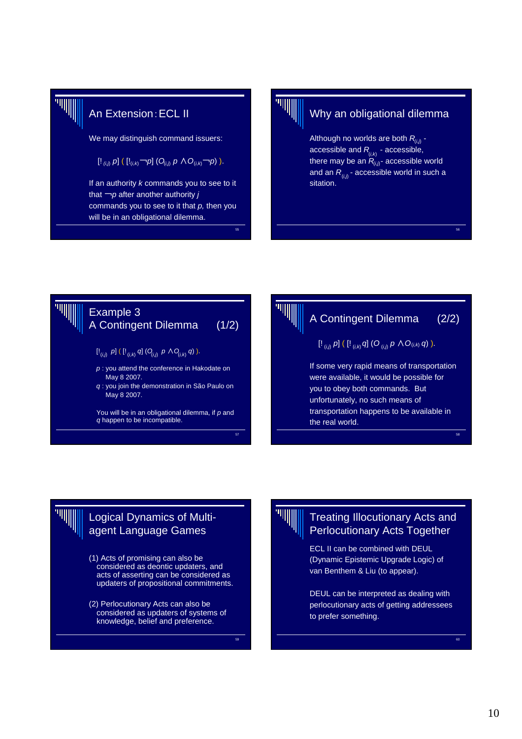

# An Extension:ECL II

We may distinguish command issuers:

$$
[!_{(i,j)} p] ([!_{(i,k)} \neg p] (Q_{(i,j)} p \wedge Q_{(i,k)} \neg p)].
$$

If an authority *k* commands you to see to it that ¬*p* after another authority *j* commands you to see to it that *p,* then you will be in an obligational dilemma.



55

# Why an obligational dilemma

Although no worlds are both  $R_{\scriptscriptstyle (i,j)}$  accessible and R<sub>in</sub> - accessible, there may be an  $R_{i,j}$ - accessible world and an  $R_{_{(i,j)}}$ - accessible world in such a sitation. (*i,k*)

56





## Logical Dynamics of Multiagent Language Games

- (1) Acts of promising can also be considered as deontic updaters, and acts of asserting can be considered as updaters of propositional commitments.
- (2) Perlocutionary Acts can also be considered as updaters of systems of knowledge, belief and preference.



59

#### Treating Illocutionary Acts and Perlocutionary Acts Together

ECL II can be combined with DEUL (Dynamic Epistemic Upgrade Logic) of van Benthem & Liu (to appear).

DEUL can be interpreted as dealing with perlocutionary acts of getting addressees to prefer something.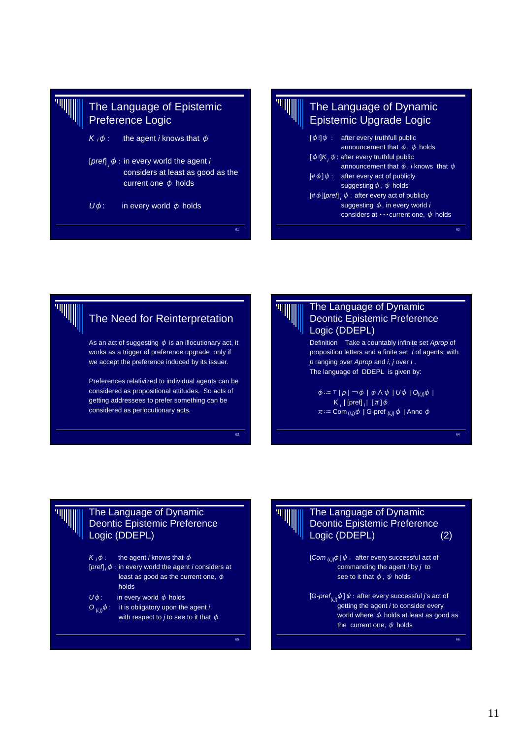





Preferences relativized to individual agents can be considered as propositional attitudes. So acts of getting addressees to prefer something can be considered as perlocutionary acts.

#### The Language of Dynamic Deontic Epistemic Preference Logic (DDEPL)

Definition Take a countably infinite set *Aprop* of proposition letters and a finite set *I* of agents, with *p* ranging over *Aprop* and *i, j* over *I* . The language of DDEPL is given by:

 $\phi ::= \top | p | \neg \phi | \phi \land \psi | U \phi | O_{(i,j)} \phi$  $K_{i}$  | [pref]  $_{i}$  |  $[\pi]\phi$  $\pi ::= \text{Com}_{(i,j)}\phi \mid \text{G-pref}_{(i,j)}\phi \mid \text{Annc } \phi$ 

64

66

#### The Language of Dynamic Deontic Epistemic Preference Logic (DDEPL)

the agent *i* knows that  $\phi$ [*pref*] <sub>*i*</sub>  $\phi$  : in every world the agent *i* considers at least as good as the current one,  $\phi$ holds  $U\phi$ : in every world  $\phi$  holds  $O_{(i,j)}\phi$ : it is obligatory upon the agent *i* with respect to *j* to see to it that  $\phi$  $K_i \phi$ :



 $63$ 

65

### The Language of Dynamic Deontic Epistemic Preference Logic (DDEPL) (2)

 $[Com_{(i,j)}\phi]\psi$ : after every successful act of commanding the agent *i* by *j* to see to it that  $\phi$ ,  $\psi$  holds

[G-*pref<sub>(i,j)</sub>*  $\phi$  ]  $\psi$  : after every successful *j*'s act of getting the agent *i* to consider every world where  $\phi$  holds at least as good as the current one,  $\psi$  holds